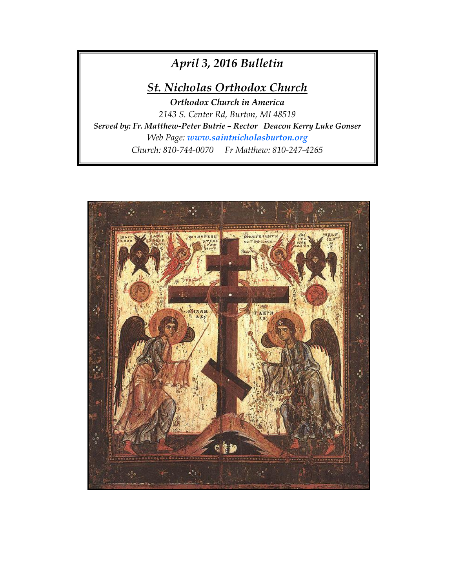# *April 3, 2016 Bulletin*

## *St. Nicholas Orthodox Church*

*Orthodox Church in America 2143 S. Center Rd, Burton, MI 48519 Served by: Fr. Matthew-Peter Butrie – Rector Deacon Kerry Luke Gonser Web Page: [www.saintnicholasburton.org](http://www.saintnicholasburton.org/) Church: 810-744-0070 Fr Matthew: 810-247-4265*

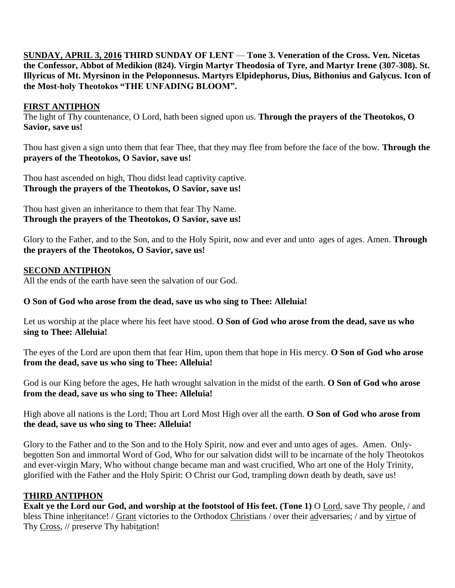**SUNDAY, APRIL 3, 2016 THIRD SUNDAY OF LENT** — **Tone 3. Veneration of the Cross. Ven. Nicetas the Confessor, Abbot of Medikion (824). Virgin Martyr Theodosia of Tyre, and Martyr Irene (307-308). St. Illyricus of Mt. Myrsinon in the Peloponnesus. Martyrs Elpidephorus, Dius, Bithonius and Galycus. Icon of the Most-holy Theotokos "THE UNFADING BLOOM".**

#### **FIRST ANTIPHON**

The light of Thy countenance, O Lord, hath been signed upon us. **Through the prayers of the Theotokos, O Savior, save us!**

Thou hast given a sign unto them that fear Thee, that they may flee from before the face of the bow. **Through the prayers of the Theotokos, O Savior, save us!**

Thou hast ascended on high, Thou didst lead captivity captive. **Through the prayers of the Theotokos, O Savior, save us!**

Thou hast given an inheritance to them that fear Thy Name. **Through the prayers of the Theotokos, O Savior, save us!**

Glory to the Father, and to the Son, and to the Holy Spirit, now and ever and unto ages of ages. Amen. **Through the prayers of the Theotokos, O Savior, save us!**

#### **SECOND ANTIPHON**

All the ends of the earth have seen the salvation of our God.

#### **O Son of God who arose from the dead, save us who sing to Thee: Alleluia!**

Let us worship at the place where his feet have stood. **O Son of God who arose from the dead, save us who sing to Thee: Alleluia!**

The eyes of the Lord are upon them that fear Him, upon them that hope in His mercy. **O Son of God who arose from the dead, save us who sing to Thee: Alleluia!**

God is our King before the ages, He hath wrought salvation in the midst of the earth. **O Son of God who arose from the dead, save us who sing to Thee: Alleluia!**

High above all nations is the Lord; Thou art Lord Most High over all the earth. **O Son of God who arose from the dead, save us who sing to Thee: Alleluia!**

Glory to the Father and to the Son and to the Holy Spirit, now and ever and unto ages of ages. Amen. Onlybegotten Son and immortal Word of God, Who for our salvation didst will to be incarnate of the holy Theotokos and ever-virgin Mary, Who without change became man and wast crucified, Who art one of the Holy Trinity, glorified with the Father and the Holy Spirit: O Christ our God, trampling down death by death, save us!

#### **THIRD ANTIPHON**

**Exalt ye the Lord our God, and worship at the footstool of His feet. (Tone 1)** O Lord, save Thy people, / and bless Thine inheritance! / Grant victories to the Orthodox Christians / over their adversaries; / and by virtue of Thy Cross, // preserve Thy habitation!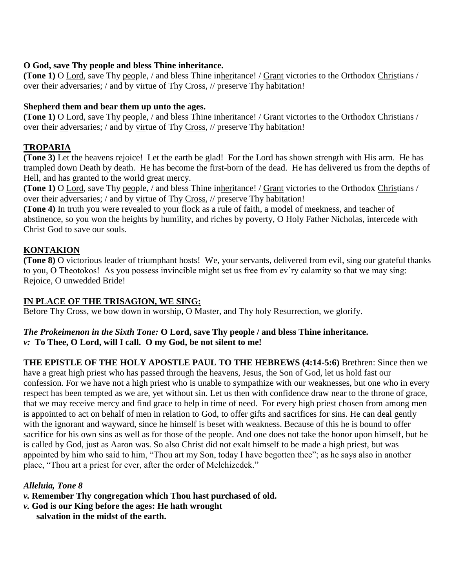#### **O God, save Thy people and bless Thine inheritance.**

**(Tone 1)** O Lord, save Thy people, / and bless Thine inheritance! / Grant victories to the Orthodox Christians / over their adversaries; / and by virtue of Thy Cross, // preserve Thy habitation!

### **Shepherd them and bear them up unto the ages.**

**(Tone 1)** O Lord, save Thy people, / and bless Thine inheritance! / Grant victories to the Orthodox Christians / over their adversaries; / and by virtue of Thy Cross, // preserve Thy habitation!

## **TROPARIA**

**(Tone 3)** Let the heavens rejoice! Let the earth be glad! For the Lord has shown strength with His arm. He has trampled down Death by death. He has become the first-born of the dead. He has delivered us from the depths of Hell, and has granted to the world great mercy.

**(Tone 1)** O Lord, save Thy people, / and bless Thine inheritance! / Grant victories to the Orthodox Christians / over their adversaries; / and by virtue of Thy Cross, // preserve Thy habitation!

**(Tone 4)** In truth you were revealed to your flock as a rule of faith, a model of meekness, and teacher of abstinence, so you won the heights by humility, and riches by poverty, O Holy Father Nicholas, intercede with Christ God to save our souls.

## **KONTAKION**

**(Tone 8)** O victorious leader of triumphant hosts! We, your servants, delivered from evil, sing our grateful thanks to you, O Theotokos! As you possess invincible might set us free from ev'ry calamity so that we may sing: Rejoice, O unwedded Bride!

## **IN PLACE OF THE TRISAGION, WE SING:**

Before Thy Cross, we bow down in worship, O Master, and Thy holy Resurrection, we glorify.

#### *The Prokeimenon in the Sixth Tone:* **O Lord, save Thy people / and bless Thine inheritance.** *v:* **To Thee, O Lord, will I call. O my God, be not silent to me!**

**THE EPISTLE OF THE HOLY APOSTLE PAUL TO THE HEBREWS (4:14-5:6)** Brethren: Since then we have a great high priest who has passed through the heavens, Jesus, the Son of God, let us hold fast our confession. For we have not a high priest who is unable to sympathize with our weaknesses, but one who in every respect has been tempted as we are, yet without sin. Let us then with confidence draw near to the throne of grace, that we may receive mercy and find grace to help in time of need. For every high priest chosen from among men is appointed to act on behalf of men in relation to God, to offer gifts and sacrifices for sins. He can deal gently with the ignorant and wayward, since he himself is beset with weakness. Because of this he is bound to offer sacrifice for his own sins as well as for those of the people. And one does not take the honor upon himself, but he is called by God, just as Aaron was. So also Christ did not exalt himself to be made a high priest, but was appointed by him who said to him, "Thou art my Son, today I have begotten thee"; as he says also in another place, "Thou art a priest for ever, after the order of Melchizedek."

## *Alleluia, Tone 8*

- *v.* **Remember Thy congregation which Thou hast purchased of old.**
- *v.* **God is our King before the ages: He hath wrought** 
	- **salvation in the midst of the earth.**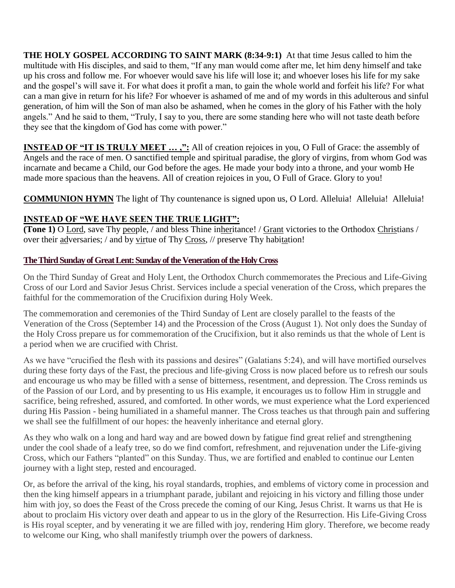**THE HOLY GOSPEL ACCORDING TO SAINT MARK (8:34-9:1)** At that time Jesus called to him the multitude with His disciples, and said to them, "If any man would come after me, let him deny himself and take up his cross and follow me. For whoever would save his life will lose it; and whoever loses his life for my sake and the gospel's will save it. For what does it profit a man, to gain the whole world and forfeit his life? For what can a man give in return for his life? For whoever is ashamed of me and of my words in this adulterous and sinful generation, of him will the Son of man also be ashamed, when he comes in the glory of his Father with the holy angels." And he said to them, "Truly, I say to you, there are some standing here who will not taste death before they see that the kingdom of God has come with power."

**INSTEAD OF "IT IS TRULY MEET ...,":** All of creation rejoices in you, O Full of Grace: the assembly of Angels and the race of men. O sanctified temple and spiritual paradise, the glory of virgins, from whom God was incarnate and became a Child, our God before the ages. He made your body into a throne, and your womb He made more spacious than the heavens. All of creation rejoices in you, O Full of Grace. Glory to you!

**COMMUNION HYMN** The light of Thy countenance is signed upon us, O Lord. Alleluia! Alleluia! Alleluia!

## **INSTEAD OF "WE HAVE SEEN THE TRUE LIGHT":**

**(Tone 1)** O Lord, save Thy people, / and bless Thine inheritance! / Grant victories to the Orthodox Christians / over their adversaries; / and by virtue of Thy Cross, // preserve Thy habitation!

## **The Third Sunday of Great Lent: Sunday of the Veneration of the Holy Cross**

On the Third Sunday of Great and Holy Lent, the Orthodox Church commemorates the Precious and Life-Giving Cross of our Lord and Savior Jesus Christ. Services include a special veneration of the Cross, which prepares the faithful for the commemoration of the Crucifixion during Holy Week.

The commemoration and ceremonies of the Third Sunday of Lent are closely parallel to the feasts of the Veneration of the Cross (September 14) and the Procession of the Cross (August 1). Not only does the Sunday of the Holy Cross prepare us for commemoration of the Crucifixion, but it also reminds us that the whole of Lent is a period when we are crucified with Christ.

As we have "crucified the flesh with its passions and desires" (Galatians 5:24), and will have mortified ourselves during these forty days of the Fast, the precious and life-giving Cross is now placed before us to refresh our souls and encourage us who may be filled with a sense of bitterness, resentment, and depression. The Cross reminds us of the Passion of our Lord, and by presenting to us His example, it encourages us to follow Him in struggle and sacrifice, being refreshed, assured, and comforted. In other words, we must experience what the Lord experienced during His Passion - being humiliated in a shameful manner. The Cross teaches us that through pain and suffering we shall see the fulfillment of our hopes: the heavenly inheritance and eternal glory.

As they who walk on a long and hard way and are bowed down by fatigue find great relief and strengthening under the cool shade of a leafy tree, so do we find comfort, refreshment, and rejuvenation under the Life-giving Cross, which our Fathers "planted" on this Sunday. Thus, we are fortified and enabled to continue our Lenten journey with a light step, rested and encouraged.

Or, as before the arrival of the king, his royal standards, trophies, and emblems of victory come in procession and then the king himself appears in a triumphant parade, jubilant and rejoicing in his victory and filling those under him with joy, so does the Feast of the Cross precede the coming of our King, Jesus Christ. It warns us that He is about to proclaim His victory over death and appear to us in the glory of the Resurrection. His Life-Giving Cross is His royal scepter, and by venerating it we are filled with joy, rendering Him glory. Therefore, we become ready to welcome our King, who shall manifestly triumph over the powers of darkness.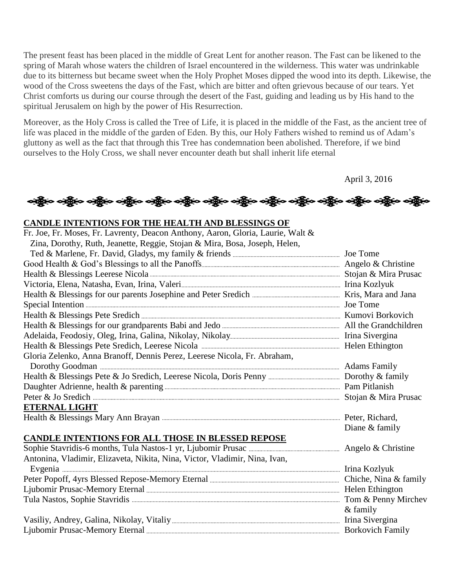The present feast has been placed in the middle of Great Lent for another reason. The Fast can be likened to the spring of Marah whose waters the children of Israel encountered in the wilderness. This water was undrinkable due to its bitterness but became sweet when the Holy Prophet Moses dipped the wood into its depth. Likewise, the wood of the Cross sweetens the days of the Fast, which are bitter and often grievous because of our tears. Yet Christ comforts us during our course through the desert of the Fast, guiding and leading us by His hand to the spiritual Jerusalem on high by the power of His Resurrection.

Moreover, as the Holy Cross is called the Tree of Life, it is placed in the middle of the Fast, as the ancient tree of life was placed in the middle of the garden of Eden. By this, our Holy Fathers wished to remind us of Adam's gluttony as well as the fact that through this Tree has condemnation been abolished. Therefore, if we bind ourselves to the Holy Cross, we shall never encounter death but shall inherit life eternal

April 3, 2016

## બક્ષૂતિ બક્ષૂતિ બક્ષૂતિ બક્ષૂતિ બક્ષૂતિ બક્ષૂતિ બક્ષૂતિ બક્ષૂતિ બક્ષૂતિ બક્ષૂતિ બક્ષૂતિ બક્ષૂતિ બક્ષ

#### **CANDLE INTENTIONS FOR THE HEALTH AND BLESSINGS OF**

| Fr. Joe, Fr. Moses, Fr. Lavrenty, Deacon Anthony, Aaron, Gloria, Laurie, Walt &                                                                                                                                                      |                 |
|--------------------------------------------------------------------------------------------------------------------------------------------------------------------------------------------------------------------------------------|-----------------|
| Zina, Dorothy, Ruth, Jeanette, Reggie, Stojan & Mira, Bosa, Joseph, Helen,                                                                                                                                                           |                 |
|                                                                                                                                                                                                                                      |                 |
|                                                                                                                                                                                                                                      |                 |
|                                                                                                                                                                                                                                      |                 |
|                                                                                                                                                                                                                                      |                 |
|                                                                                                                                                                                                                                      |                 |
|                                                                                                                                                                                                                                      |                 |
|                                                                                                                                                                                                                                      |                 |
|                                                                                                                                                                                                                                      |                 |
|                                                                                                                                                                                                                                      |                 |
|                                                                                                                                                                                                                                      |                 |
| Gloria Zelenko, Anna Branoff, Dennis Perez, Leerese Nicola, Fr. Abraham,                                                                                                                                                             |                 |
|                                                                                                                                                                                                                                      |                 |
|                                                                                                                                                                                                                                      |                 |
|                                                                                                                                                                                                                                      |                 |
|                                                                                                                                                                                                                                      |                 |
| <b>ETERNAL LIGHT</b>                                                                                                                                                                                                                 |                 |
|                                                                                                                                                                                                                                      |                 |
|                                                                                                                                                                                                                                      | Diane & family  |
| CANDLE INTENTIONS FOR ALL THOSE IN BLESSED REPOSE                                                                                                                                                                                    |                 |
|                                                                                                                                                                                                                                      |                 |
| Antonina, Vladimir, Elizaveta, Nikita, Nina, Victor, Vladimir, Nina, Ivan,                                                                                                                                                           |                 |
| Evgenia <u>matematica e contra della contra della contra della contra della contra della contra della contra della contra della contra della contra della contra della contra della contra della contra della contra della contr</u> |                 |
|                                                                                                                                                                                                                                      |                 |
|                                                                                                                                                                                                                                      |                 |
|                                                                                                                                                                                                                                      |                 |
|                                                                                                                                                                                                                                      | & family        |
|                                                                                                                                                                                                                                      | Irina Sivergina |
|                                                                                                                                                                                                                                      |                 |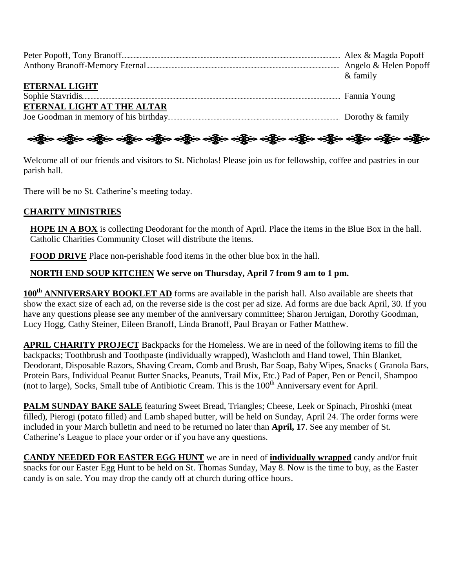|                            | $&$ family |
|----------------------------|------------|
| <b>ETERNAL LIGHT</b>       |            |
|                            |            |
| ETERNAL LIGHT AT THE ALTAR |            |
|                            |            |

## ခရွို့က ခရွိက သန္တို့က ခရွိက သန္တို့က ခရွိက ခရွိက ခရွိက ခရွိက သန္တို့က သန္တို့က ခရွိက ခရွိက ခရွိက

Welcome all of our friends and visitors to St. Nicholas! Please join us for fellowship, coffee and pastries in our parish hall.

There will be no St. Catherine's meeting today.

#### **CHARITY MINISTRIES**

**HOPE IN A BOX** is collecting Deodorant for the month of April. Place the items in the Blue Box in the hall. Catholic Charities Community Closet will distribute the items.

**FOOD DRIVE** Place non-perishable food items in the other blue box in the hall.

#### **NORTH END SOUP KITCHEN We serve on Thursday, April 7 from 9 am to 1 pm.**

**100th ANNIVERSARY BOOKLET AD** forms are available in the parish hall. Also available are sheets that show the exact size of each ad, on the reverse side is the cost per ad size. Ad forms are due back April, 30. If you have any questions please see any member of the anniversary committee; Sharon Jernigan, Dorothy Goodman, Lucy Hogg, Cathy Steiner, Eileen Branoff, Linda Branoff, Paul Brayan or Father Matthew.

**APRIL CHARITY PROJECT** Backpacks for the Homeless. We are in need of the following items to fill the backpacks; Toothbrush and Toothpaste (individually wrapped), Washcloth and Hand towel, Thin Blanket, Deodorant, Disposable Razors, Shaving Cream, Comb and Brush, Bar Soap, Baby Wipes, Snacks ( Granola Bars, Protein Bars, Individual Peanut Butter Snacks, Peanuts, Trail Mix, Etc.) Pad of Paper, Pen or Pencil, Shampoo (not to large), Socks, Small tube of Antibiotic Cream. This is the  $100<sup>th</sup>$  Anniversary event for April.

**PALM SUNDAY BAKE SALE** featuring Sweet Bread, Triangles; Cheese, Leek or Spinach, Piroshki (meat filled), Pierogi (potato filled) and Lamb shaped butter, will be held on Sunday, April 24. The order forms were included in your March bulletin and need to be returned no later than **April, 17**. See any member of St. Catherine's League to place your order or if you have any questions.

**CANDY NEEDED FOR EASTER EGG HUNT** we are in need of **individually wrapped** candy and/or fruit snacks for our Easter Egg Hunt to be held on St. Thomas Sunday, May 8. Now is the time to buy, as the Easter candy is on sale. You may drop the candy off at church during office hours.